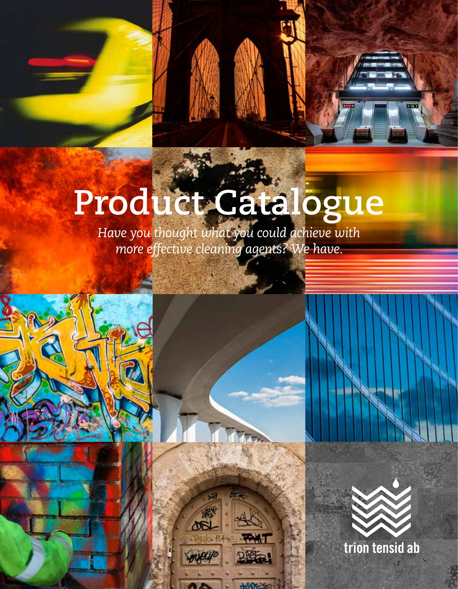# **Product Catalogue**

*Have you thought what you could achieve with more effective cleaning agents? We have.*

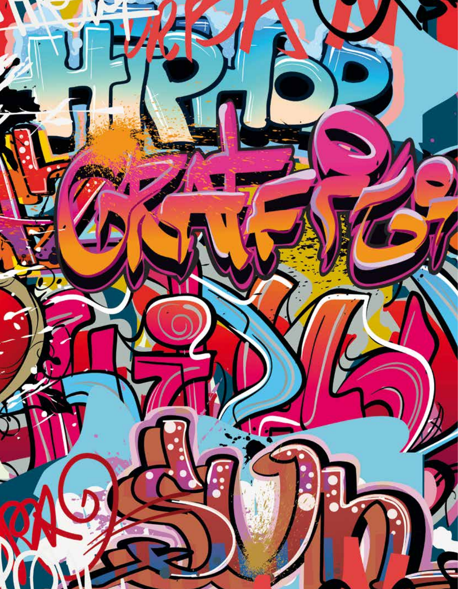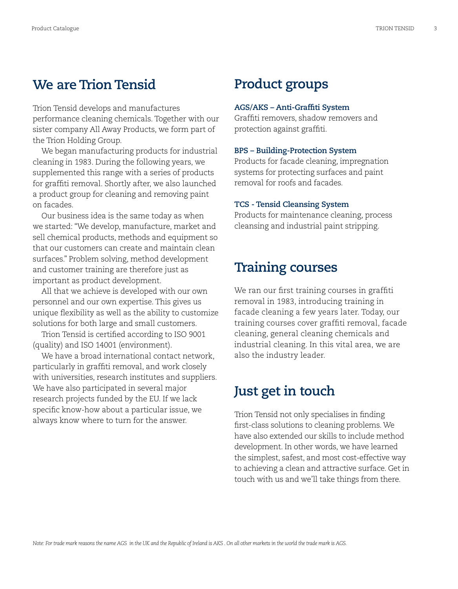# **We are Trion Tensid**

Trion Tensid develops and manufactures performance cleaning chemicals. Together with our sister company All Away Products, we form part of the Trion Holding Group.

We began manufacturing products for industrial cleaning in 1983. During the following years, we supplemented this range with a series of products for graffiti removal. Shortly after, we also launched a product group for cleaning and removing paint on facades.

Our business idea is the same today as when we started: "We develop, manufacture, market and sell chemical products, methods and equipment so that our customers can create and maintain clean surfaces." Problem solving, method development and customer training are therefore just as important as product development.

All that we achieve is developed with our own personnel and our own expertise. This gives us unique flexibility as well as the ability to customize solutions for both large and small customers.

Trion Tensid is certified according to ISO 9001 (quality) and ISO 14001 (environment).

We have a broad international contact network, particularly in graffiti removal, and work closely with universities, research institutes and suppliers. We have also participated in several major research projects funded by the EU. If we lack specific know-how about a particular issue, we always know where to turn for the answer.

# **Product groups**

## **AGS/AKS – Anti-Graffiti System**

Graffiti removers, shadow removers and protection against graffiti.

#### **BPS – Building-Protection System**

Products for facade cleaning, impregnation systems for protecting surfaces and paint removal for roofs and facades.

## **TCS - Tensid Cleansing System**

Products for maintenance cleaning, process cleansing and industrial paint stripping.

# **Training courses**

We ran our first training courses in graffiti removal in 1983, introducing training in facade cleaning a few years later. Today, our training courses cover graffiti removal, facade cleaning, general cleaning chemicals and industrial cleaning. In this vital area, we are also the industry leader.

# **Just get in touch**

Trion Tensid not only specialises in finding first-class solutions to cleaning problems. We have also extended our skills to include method development. In other words, we have learned the simplest, safest, and most cost-effective way to achieving a clean and attractive surface. Get in touch with us and we'll take things from there.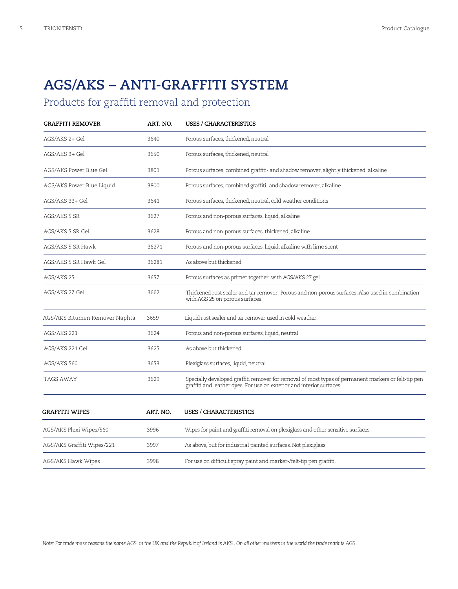# **AGS/AKS – ANTI-GRAFFITI SYSTEM**

# Products for graffiti removal and protection

| <b>GRAFFITI REMOVER</b>        | ART. NO. | <b>USES / CHARACTERISTICS</b>                                                                                                                                                |
|--------------------------------|----------|------------------------------------------------------------------------------------------------------------------------------------------------------------------------------|
| AGS/AKS 2+ Gel                 | 3640     | Porous surfaces, thickened, neutral                                                                                                                                          |
| AGS/AKS 3+ Gel                 | 3650     | Porous surfaces, thickened, neutral                                                                                                                                          |
| AGS/AKS Power Blue Gel         | 3801     | Porous surfaces, combined graffiti- and shadow remover, slightly thickened, alkaline                                                                                         |
| AGS/AKS Power Blue Liquid      | 3800     | Porous surfaces, combined graffiti- and shadow remover, alkaline                                                                                                             |
| AGS/AKS 33+ Gel                | 3641     | Porous surfaces, thickened, neutral, cold weather conditions                                                                                                                 |
| AGS/AKS 5 SR                   | 3627     | Porous and non-porous surfaces, liquid, alkaline                                                                                                                             |
| AGS/AKS 5 SR Gel               | 3628     | Porous and non-porous surfaces, thickened, alkaline                                                                                                                          |
| AGS/AKS 5 SR Hawk              | 36271    | Porous and non-porous surfaces, liquid, alkaline with lime scent                                                                                                             |
| AGS/AKS 5 SR Hawk Gel          | 36281    | As above but thickened                                                                                                                                                       |
| AGS/AKS 25                     | 3657     | Porous surfaces as primer together with AGS/AKS 27 gel                                                                                                                       |
| AGS/AKS 27 Gel                 | 3662     | Thickened rust sealer and tar remover. Porous and non-porous surfaces. Also used in combination<br>with AGS 25 on porous surfaces                                            |
| AGS/AKS Bitumen Remover Naphta | 3659     | Liquid rust sealer and tar remover used in cold weather.                                                                                                                     |
| AGS/AKS 221                    | 3624     | Porous and non-porous surfaces, liquid, neutral                                                                                                                              |
| AGS/AKS 221 Gel                | 3625     | As above but thickened                                                                                                                                                       |
| AGS/AKS 560                    | 3653     | Plexiglass surfaces, liquid, neutral                                                                                                                                         |
| TAGS AWAY                      | 3629     | Specially developed graffiti remover for removal of most types of permanent markers or felt-tip pen<br>graffiti and leather dyes. For use on exterior and interior surfaces. |
| GRAFFITI WIPES                 | ART. NO. | <b>USES / CHARACTERISTICS</b>                                                                                                                                                |
| AGS/AKS Plexi Wipes/560        | 3996     | Wipes for paint and graffiti removal on plexiglass and other sensitive surfaces                                                                                              |

| AGS/AKS Graffiti Wipes/221 | 3997 | As above, but for industrial painted surfaces. Not plexiglass       |
|----------------------------|------|---------------------------------------------------------------------|
| AGS/AKS Hawk Wipes         | 3998 | For use on difficult spray paint and marker-/felt-tip pen graffiti. |

*Note: For trade mark reasons the name AGS in the UK and the Republic of Ireland is AKS . On all other markets in the world the trade mark is AGS.*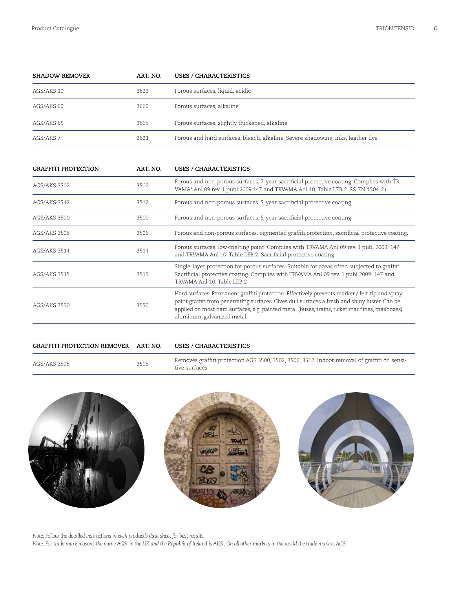| <b>SHADOW REMOVER</b> | ART. NO. | <b>USES / CHARACTERISTICS</b>                                                   |
|-----------------------|----------|---------------------------------------------------------------------------------|
| AGS/AKS 10            | 3633     | Porous surfaces, liquid, acidic                                                 |
| AGS/AKS 60            | 3660     | Porous surfaces, alkaline                                                       |
| AGS/AKS 65            | 3665     | Porous surfaces, slightly thickened, alkaline                                   |
| AGS/AKS 7             | 3631     | Porous and hard surfaces, bleach, alkaline. Severe shadowing, inks, leather dye |

| <b>GRAFFITI PROTECTION</b> | ART. NO. | USES / CHARACTERISTICS                                                                                                                                                                                                                                                                                                          |
|----------------------------|----------|---------------------------------------------------------------------------------------------------------------------------------------------------------------------------------------------------------------------------------------------------------------------------------------------------------------------------------|
| <b>AGS/AKS 3502</b>        | 3502     | Porous and non-porous surfaces, 7-year sacrificial protective coating. Complies with TR-<br>VAMA* Anl 09 rev. 1 publ 2009:147 and TRVAMA Anl 10, Table LEB 2, SS-EN 1504-2+                                                                                                                                                     |
| AGS/AKS 3512               | 3512     | Porous and non-porous surfaces, 5-year sacrificial protective coating                                                                                                                                                                                                                                                           |
| AGS/AKS 3500               | 3500     | Porous and non-porous surfaces, 5-year sacrificial protective coating                                                                                                                                                                                                                                                           |
| AGS/AKS 3506               | 3506     | Porous and non-porous surfaces, pigmented graffiti protection, sacrificial protective coating.                                                                                                                                                                                                                                  |
| AGS/AKS 3514               | 3514     | Porous surfaces, low-melting point. Complies with TRVAMA Anl 09 rev. 1 publ 2009: 147<br>and TRVAMA Anl 10. Table LEB 2. Sacrificial protective coating                                                                                                                                                                         |
| <b>AGS/AKS 3515</b>        | 3515     | Single-layer protection for porous surfaces. Suitable for areas often subjected to graffiti.<br>Sacrificial protective coating. Complies with TRVAMA Anl 09 rev. 1 publ 2009: 147 and<br>TRVAMA Anl 10, Table LEB 2                                                                                                             |
| <b>AGS/AKS 3550</b>        | 3550     | Hard surfaces. Permanent graffiti protection. Effectively prevents marker / felt-tip and spray<br>paint graffiti from penetrating surfaces. Gives dull surfaces a fresh and shiny luster. Can be<br>applied on most hard surfaces, e.g. painted metal (buses, trains, ticket machines, mailboxes)<br>aluminum, galvanized metal |
|                            |          |                                                                                                                                                                                                                                                                                                                                 |

| GRAFFITI PROTECTION REMOVER ART. NO. |      | USES / CHARACTERISTICS                                                                                        |
|--------------------------------------|------|---------------------------------------------------------------------------------------------------------------|
| AGS/AKS 3505                         | 3505 | Removes graffiti protection AGS 3500, 3502, 3506, 3512. Indoor removal of graffiti on sensi-<br>tive surfaces |



*Note: Follow the detailed instructions in each product's data sheet for best results.*

*Note: For trade mark reasons the name AGS in the UK and the Republic of Ireland is AKS . On all other markets in the world the trade mark is AGS.*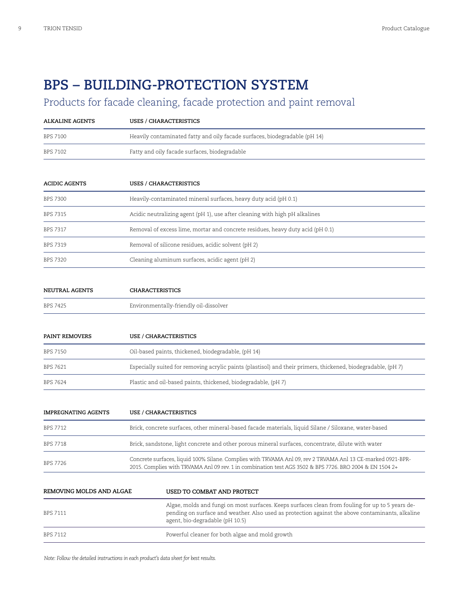# **BPS – BUILDING-PROTECTION SYSTEM**

## Products for facade cleaning, facade protection and paint removal

| ALKALINE AGENTS | USES / CHARACTERISTICS                                                     |
|-----------------|----------------------------------------------------------------------------|
| BPS 7100        | Heavily contaminated fatty and oily facade surfaces, biodegradable (pH 14) |
| BPS 7102        | Fatty and oily facade surfaces, biodegradable                              |

| ACIDIC AGENTS   | USES / CHARACTERISTICS                                                         |  |  |
|-----------------|--------------------------------------------------------------------------------|--|--|
| <b>BPS 7300</b> | Heavily-contaminated mineral surfaces, heavy duty acid (pH 0.1)                |  |  |
| <b>BPS 7315</b> | Acidic neutralizing agent (pH 1), use after cleaning with high pH alkalines    |  |  |
| BPS 7317        | Removal of excess lime, mortar and concrete residues, heavy duty acid (pH 0.1) |  |  |
| <b>BPS 7319</b> | Removal of silicone residues, acidic solvent (pH 2)                            |  |  |
| BPS 7320        | Cleaning aluminum surfaces, acidic agent (pH 2)                                |  |  |

| NEUTRAL AGENTS  | <b>CHARACTERISTICS</b>                 |
|-----------------|----------------------------------------|
| <b>BPS 7425</b> | Environmentally-friendly oil-dissolver |

| PAINT REMOVERS | USE / CHARACTERISTICS                                                                                         |  |
|----------------|---------------------------------------------------------------------------------------------------------------|--|
| BPS 7150       | Oil-based paints, thickened, biodegradable, (pH 14)                                                           |  |
| BPS 7621       | Especially suited for removing acrylic paints (plastisol) and their primers, thickened, biodegradable, (pH 7) |  |
| BPS 7624       | Plastic and oil-based paints, thickened, biodegradable, (pH 7)                                                |  |

| <b>IMPREGNATING AGENTS</b> | USE / CHARACTERISTICS                                                                                                                                                                                                  |  |  |
|----------------------------|------------------------------------------------------------------------------------------------------------------------------------------------------------------------------------------------------------------------|--|--|
| BPS 7712                   | Brick, concrete surfaces, other mineral-based facade materials, liquid Silane / Siloxane, water-based                                                                                                                  |  |  |
| <b>BPS 7718</b>            | Brick, sandstone, light concrete and other porous mineral surfaces, concentrate, dilute with water                                                                                                                     |  |  |
| BPS 7726                   | Concrete surfaces, liquid 100% Silane. Complies with TRVAMA Anl 09, rev 2 TRVAMA Anl 13 CE-marked 0921-BPR-<br>2015. Complies with TRVAMA Anl 09 rev. 1 in combination test AGS 3502 & BPS 7726. BRO 2004 & EN 1504 2+ |  |  |

| REMOVING MOLDS AND ALGAE | USED TO COMBAT AND PROTECT                                                                                                                                                                                                              |  |
|--------------------------|-----------------------------------------------------------------------------------------------------------------------------------------------------------------------------------------------------------------------------------------|--|
| BPS 7111                 | Algae, molds and fungi on most surfaces. Keeps surfaces clean from fouling for up to 5 years de-<br>pending on surface and weather. Also used as protection against the above contaminants, alkaline<br>agent, bio-degradable (pH 10.5) |  |
| BPS 7112                 | Powerful cleaner for both algae and mold growth                                                                                                                                                                                         |  |

*Note: Follow the detailed instructions in each product's data sheet for best results.*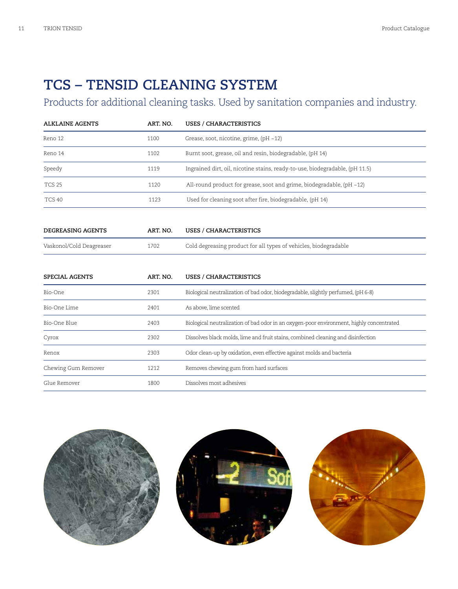# **TCS – TENSID CLEANING SYSTEM**

## Products for additional cleaning tasks. Used by sanitation companies and industry.

| ALKLAINE AGENTS | ART. NO. | USES / CHARACTERISTICS                                                       |
|-----------------|----------|------------------------------------------------------------------------------|
| Reno 12         | 1100     | Grease, soot, nicotine, grime, $(pH ~ 12)$                                   |
| Reno 14         | 1102     | Burnt soot, grease, oil and resin, biodegradable, (pH 14)                    |
| Speedy          | 1119     | Ingrained dirt, oil, nicotine stains, ready-to-use, biodegradable, (pH 11.5) |
| <b>TCS 25</b>   | 1120     | All-round product for grease, soot and grime, biodegradable, $(pH ~ 12)$     |
| <b>TCS 40</b>   | 1123     | Used for cleaning soot after fire, biodegradable, (pH 14)                    |

| DEGREASING AGENTS        | ART. NO. | USES / CHARACTERISTICS                                           |
|--------------------------|----------|------------------------------------------------------------------|
| Vaskonol/Cold Deagreaser | 1702     | Cold degreasing product for all types of vehicles, biodegradable |

| <b>SPECIAL AGENTS</b> | ART. NO. | <b>USES / CHARACTERISTICS</b>                                                            |
|-----------------------|----------|------------------------------------------------------------------------------------------|
| Bio-One               | 2301     | Biological neutralization of bad odor, biodegradable, slightly perfumed, (pH 6-8)        |
| Bio-One Lime          | 2401     | As above, lime scented                                                                   |
| Bio-One Blue          | 2403     | Biological neutralization of bad odor in an oxygen-poor environment, highly concentrated |
| Cyrox                 | 2302     | Dissolves black molds, lime and fruit stains, combined cleaning and disinfection         |
| Renox                 | 2303     | Odor clean-up by oxidation, even effective against molds and bacteria                    |
| Chewing Gum Remover   | 1212     | Removes chewing gum from hard surfaces                                                   |
| Glue Remover          | 1800     | Dissolves most adhesives                                                                 |

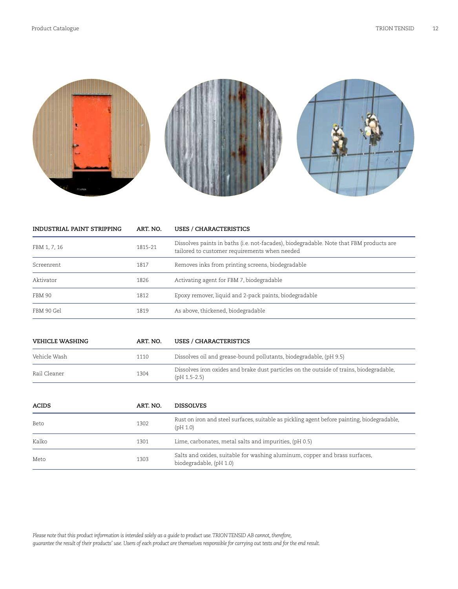

| <b>INDUSTRIAL PAINT STRIPPING</b> | ART. NO. | <b>USES / CHARACTERISTICS</b>                                                                                                            |
|-----------------------------------|----------|------------------------------------------------------------------------------------------------------------------------------------------|
| FBM 1, 7, 16                      | 1815-21  | Dissolves paints in baths (i.e. not-facades), biodegradable. Note that FBM products are<br>tailored to customer requirements when needed |
| Screenrent                        | 1817     | Removes inks from printing screens, biodegradable                                                                                        |
| Aktivator                         | 1826     | Activating agent for FBM 7, biodegradable                                                                                                |
| <b>FBM 90</b>                     | 1812     | Epoxy remover, liquid and 2-pack paints, biodegradable                                                                                   |
| FBM 90 Gel                        | 1819     | As above, thickened, biodegradable                                                                                                       |
| <b>VEHICLE WASHING</b>            | ART. NO. | <b>USES / CHARACTERISTICS</b>                                                                                                            |
| Vehicle Wash                      | 1110     | Dissolves oil and grease-bound pollutants, biodegradable, (pH 9.5)                                                                       |
| Rail Cleaner                      | 1304     | Dissolves iron oxides and brake dust particles on the outside of trains, biodegradable,<br>$(pH 1.5-2.5)$                                |
|                                   |          |                                                                                                                                          |
| <b>ACIDS</b>                      | ART. NO. | <b>DISSOLVES</b>                                                                                                                         |
| Beto                              | 1302     | Rust on iron and steel surfaces, suitable as pickling agent before painting, biodegradable,<br>(pH 1.0)                                  |
|                                   |          |                                                                                                                                          |

Kalko 1301 Lime, carbonates, metal salts and impurities, (pH 0.5) Meto 1303 Salts and oxides, suitable for washing aluminum, copper and brass surfaces, biodegradable, (pH 1.0)

*Please note that this product information is intended solely as a guide to product use. TRION TENSID AB cannot, therefore, guarantee the result of their products' use. Users of each product are themselves responsible for carrying out tests and for the end result.*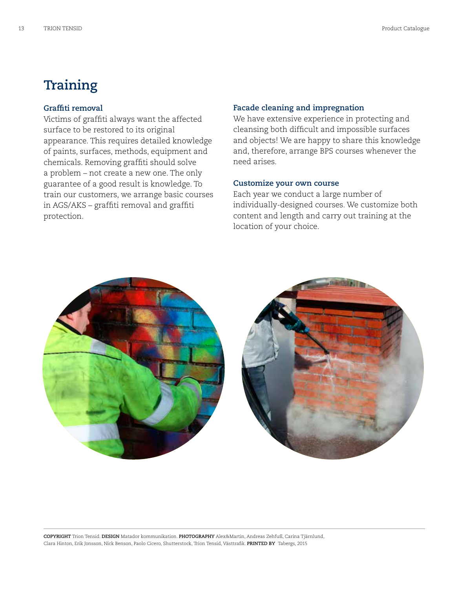# **Training**

#### **Graffiti removal**

Victims of graffiti always want the affected surface to be restored to its original appearance. This requires detailed knowledge of paints, surfaces, methods, equipment and chemicals. Removing graffiti should solve a problem – not create a new one. The only guarantee of a good result is knowledge. To train our customers, we arrange basic courses in AGS/AKS – graffiti removal and graffiti protection.

#### **Facade cleaning and impregnation**

We have extensive experience in protecting and cleansing both difficult and impossible surfaces and objects! We are happy to share this knowledge and, therefore, arrange BPS courses whenever the need arises.

#### **Customize your own course**

Each year we conduct a large number of individually-designed courses. We customize both content and length and carry out training at the location of your choice.



**COPYRIGHT** Trion Tensid. **DESIGN** Matador kommunikation. **PHOTOGRAPHY** Alex&Martin, Andreas Zehfuß, Carina Tjärnlund, Clara Hinton, Erik Jonsson, Nick Benson, Paolo Cicero, Shutterstock, Trion Tensid, Västtrafik. **PRINTED BY** Tabergs, 2015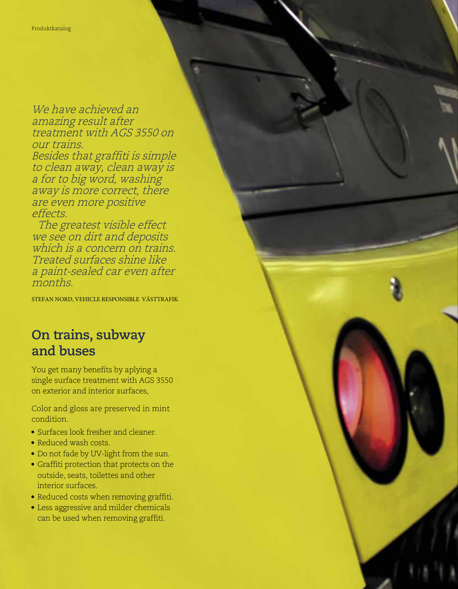We have achieved an amazing result after treatment with AGS 3550 on our trains.

Besides that graffiti is simple to clean away, clean away is a for to big word, washing away is more correct, there are even more positive effects.

 The greatest visible effect we see on dirt and deposits which is a concern on trains. Treated surfaces shine like a paint-sealed car even after months.

STEFAN NORD, VEHICLE RESPONSIBLE VASTTRAFIK

## **On trains , subway and buses**

Yo u get many benefits by aplying a single surface treatment with AGS 3550 on exterior and interior surfaces ,

Color and gloss are preserved in mint condition.

- Surfa ces look fre s her a n d cleaner.
- Reduced wash costs.
- Do not fade by UV-light from the su n.
- Graffiti protection that protects on the outside, seats, toilettes and other interior surfaces.
- R e d u c ed costs when removing graffiti.
- Less aggressive and milder chemicals can be used when removing graffiti.